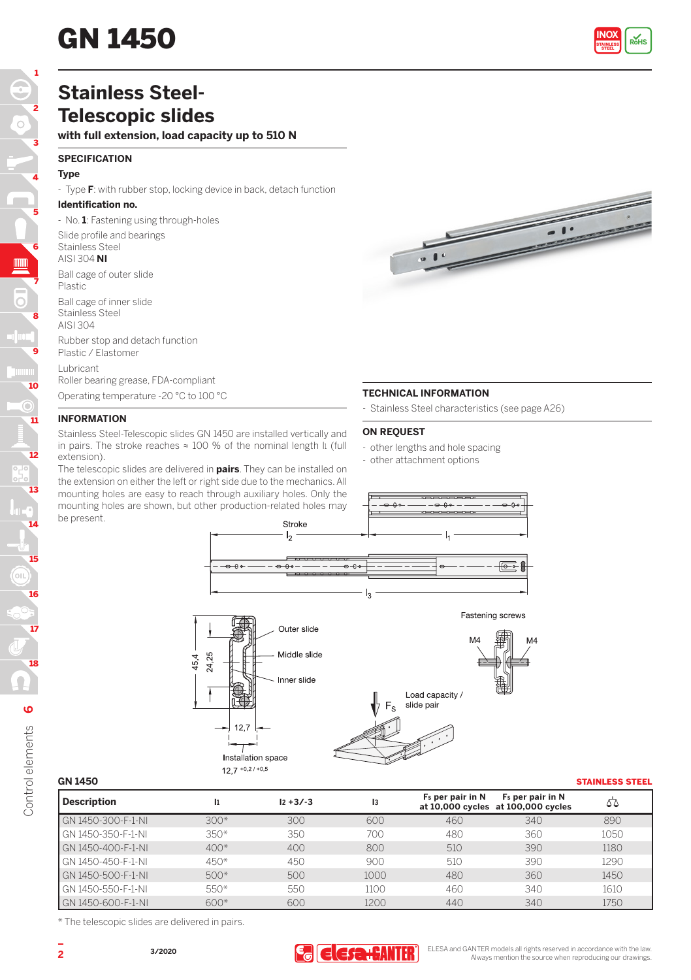# **GN 1450**



# **Stainless Steel-Telescopic slides**

# **with full extension, load capacity up to 510 N**

# **SPECIFICATION**

# **Type**

- Type **F**: with rubber stop, locking device in back, detach function

# **Identification no.**

- No. **1**: Fastening using through-holes

Slide profile and bearings

### Stainless Steel AISI 304 **NI**

Ball cage of outer slide

Plastic

Ball cage of inner slide Stainless Steel

AISI 304

Rubber stop and detach function Plastic / Elastomer

Lubricant

Roller bearing grease, FDA-compliant Operating temperature -20 °C to 100 °C

# **INFORMATION**

Stainless Steel-Telescopic slides GN 1450 are installed vertically and in pairs. The stroke reaches  $\approx$  100 % of the nominal length li (full extension).

The telescopic slides are delivered in **pairs**. They can be installed on the extension on either the left or right side due to the mechanics. All mounting holes are easy to reach through auxiliary holes. Only the mounting holes are shown, but other production-related holes may be present.

# **TECHNICAL INFORMATION**

- Stainless Steel characteristics (see page A26)

# **ON REQUEST**

- other lengths and hole spacing
- other attachment options





Control elements 6 Control elements

18

17

16

15

 $_{\odot}$ 

14

13

12

11

Ō

10

9

8

7

6

5

4

3

2

1

| <b>GN 1450</b>     |        |             |      |                              |                                                                    | <b>STAINLESS STEEL</b> |
|--------------------|--------|-------------|------|------------------------------|--------------------------------------------------------------------|------------------------|
| <b>Description</b> | l1     | $12 + 3/-3$ | 13   | F <sub>s</sub> per pair in N | F <sub>s</sub> per pair in N<br>at 10,000 cycles at 100,000 cycles | 55                     |
| GN 1450-300-F-1-NI | $300*$ | 300         | 600  | 460                          | 340                                                                | 890                    |
| GN 1450-350-F-1-NI | $350*$ | 350         | 700  | 480                          | 360                                                                | 1050                   |
| GN 1450-400-F-1-NL | $400*$ | 400         | 800  | 510                          | 390                                                                | 1180                   |
| GN 1450-450-F-1-NL | $450*$ | 450         | 900  | 510                          | 390                                                                | 1290                   |
| GN 1450-500-F-1-NL | $500*$ | 500         | 1000 | 480                          | 360                                                                | 1450                   |
| GN 1450-550-F-1-NL | $550*$ | 550         | 1100 | 460                          | 340                                                                | 1610                   |
| GN 1450-600-F-1-NI | $600*$ | 600         | 1200 | 440                          | 340                                                                | 1750                   |

\* The telescopic slides are delivered in pairs.

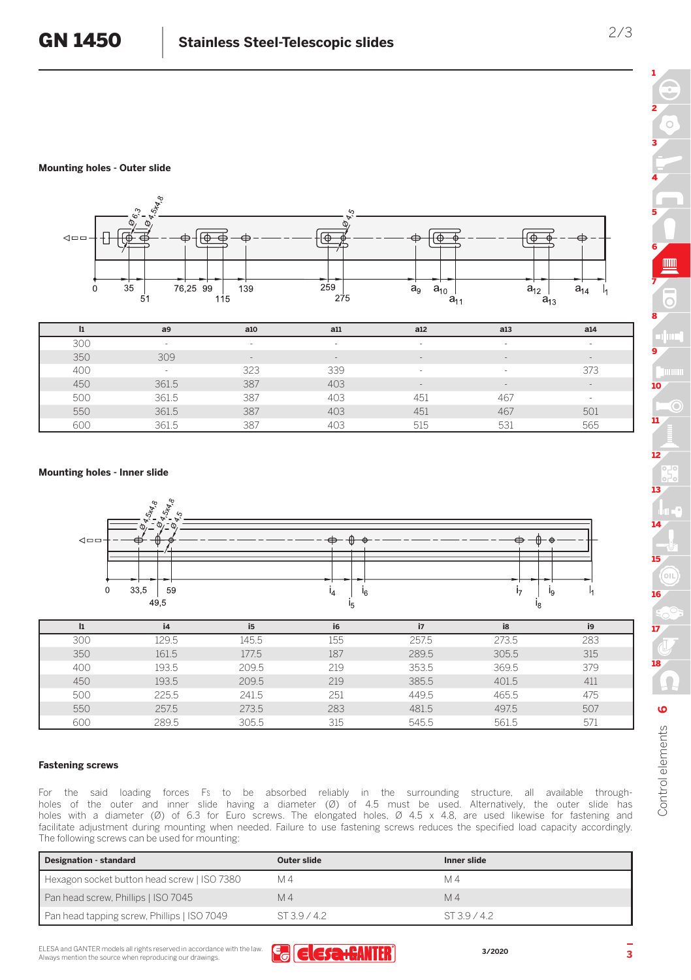# **Mounting holes - Outer slide**



500 361.5 387 403 451 467 - 550 361.5 387 403 451 467 501 600 361.5 387 403 515 531 565

| <b>Mounting holes - Inner slide</b> |  |  |
|-------------------------------------|--|--|
|                                     |  |  |



|     | İ4    | i <sub>5</sub> | i6  | i7    | i8    | i9  |
|-----|-------|----------------|-----|-------|-------|-----|
| 300 | 129.5 | 145.5          | 155 | 257.5 | 273.5 | 283 |
| 350 | 161.5 | 177.5          | 187 | 289.5 | 305.5 | 315 |
| 400 | 193.5 | 209.5          | 219 | 353.5 | 369.5 | 379 |
| 450 | 193.5 | 209.5          | 219 | 385.5 | 401.5 | 411 |
| 500 | 225.5 | 241.5          | 251 | 449.5 | 465.5 | 475 |
| 550 | 257.5 | 273.5          | 283 | 481.5 | 497.5 | 507 |
| 600 | 289.5 | 305.5          | 315 | 545.5 | 561.5 | 571 |

# **Fastening screws**

For the said loading forces FS to be absorbed reliably in the surrounding structure, all available throughholes of the outer and inner slide having a diameter (Ø) of 4.5 must be used. Alternatively, the outer slide has holes with a diameter (Ø) of 6.3 for Euro screws. The elongated holes, Ø 4.5 x 4.8, are used likewise for fastening and facilitate adjustment during mounting when needed. Failure to use fastening screws reduces the specified load capacity accordingly. The following screws can be used for mounting:

| Designation - standard                      | Outer slide | Inner slide |
|---------------------------------------------|-------------|-------------|
| Hexagon socket button head screw   ISO 7380 | M 4         | M 4         |
| Pan head screw, Phillips   ISO 7045         | M 4         | M 4         |
| Pan head tapping screw, Phillips   ISO 7049 | ST39/42     | ST39/42     |